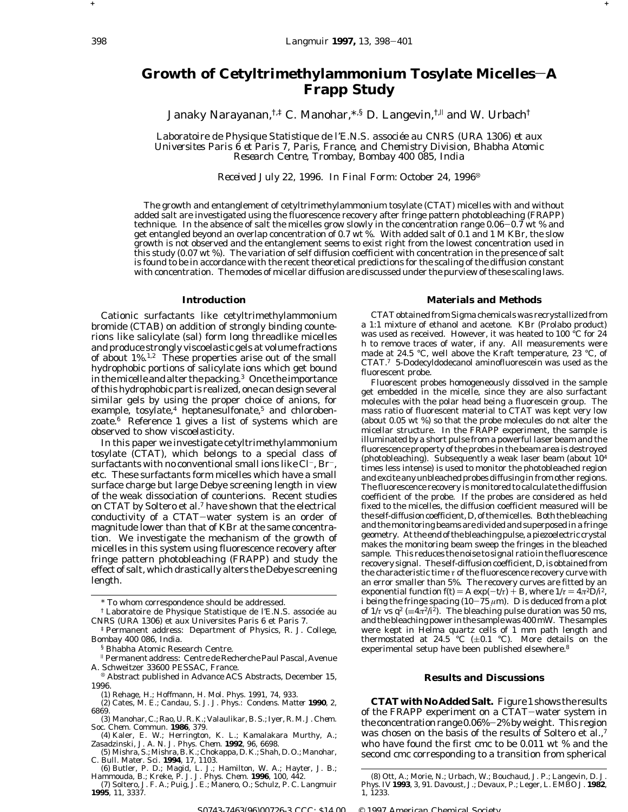**+ +**

# Growth of Cetyltrimethylammonium Tosylate Micelles-A **Frapp Study**

Janaky Narayanan,<sup>†,‡</sup> C. Manohar,\*,§ D. Langevin,<sup>†,||</sup> and W. Urbach<sup>†</sup>

*Laboratoire de Physique Statistique de l'E.N.S. associe*´*e au CNRS (URA 1306) et aux Universites Paris 6 et Paris 7, Paris, France, and Chemistry Division, Bhabha Atomic Research Centre, Trombay, Bombay 400 085, India*

*Received July 22, 1996. In Final Form: October 24, 1996*<sup>8</sup>

The growth and entanglement of cetyltrimethylammonium tosylate (CTAT) micelles with and without added salt are investigated using the fluorescence recovery after fringe pattern photobleaching (FRAPP) technique. In the absence of salt the micelles grow slowly in the concentration range 0.06-0.7 wt % and get entangled beyond an overlap concentration of 0.7 wt %. With added salt of 0.1 and 1 M KBr, the slow growth is not observed and the entanglement seems to exist right from the lowest concentration used in this study (0.07 wt %). The variation of self diffusion coefficient with concentration in the presence of salt is found to be in accordance with the recent theoretical predictions for the scaling of the diffusion constant with concentration. The modes of micellar diffusion are discussed under the purview of these scaling laws.

### **Introduction**

Cationic surfactants like cetyltrimethylammonium bromide (CTAB) on addition of strongly binding counterions like salicylate (sal) form long threadlike micelles and produce strongly viscoelastic gels at volume fractions of about 1%.1,2 These properties arise out of the small hydrophobic portions of salicylate ions which get bound in the micelle and alter the packing.3 Once the importance of this hydrophobic part is realized, one can design several similar gels by using the proper choice of anions, for example, tosylate, $4$  heptanesulfonate, $5$  and chlorobenzoate.6 Reference 1 gives a list of systems which are observed to show viscoelasticity.

In this paper we investigate cetyltrimethylammonium tosylate (CTAT), which belongs to a special class of surfactants with no conventional small ions like Cl<sup>-</sup>, Br<sup>-</sup>, etc. These surfactants form micelles which have a small surface charge but large Debye screening length in view of the weak dissociation of counterions. Recent studies on CTAT by Soltero et al.7 have shown that the electrical conductivity of a CTAT-water system is an order of magnitude lower than that of KBr at the same concentration. We investigate the mechanism of the growth of micelles in this system using fluorescence recovery after fringe pattern photobleaching (FRAPP) and study the effect of salt, which drastically alters the Debye screening length.

## **Materials and Methods**

CTAT obtained from Sigma chemicals was recrystallized from a 1:1 mixture of ethanol and acetone. KBr (Prolabo product) was used as received. However, it was heated to 100 °C for 24 h to remove traces of water, if any. All measurements were made at 24.5 °C, well above the Kraft temperature, 23 °C, of CTAT.7 5-Dodecyldodecanol aminofluorescein was used as the fluorescent probe.

Fluorescent probes homogeneously dissolved in the sample get embedded in the micelle, since they are also surfactant molecules with the polar head being a fluorescein group. The mass ratio of fluorescent material to CTAT was kept very low (about 0.05 wt %) so that the probe molecules do not alter the micellar structure. In the FRAPP experiment, the sample is illuminated by a short pulse from a powerful laser beam and the fluorescence property of the probes in the beam area is destroyed (photobleaching). Subsequently a weak laser beam (about 104 times less intense) is used to monitor the photobleached region and excite any unbleached probes diffusing in from other regions. The fluorescence recovery is monitored to calculate the diffusion coefficient of the probe. If the probes are considered as held fixed to the micelles, the diffusion coefficient measured will be the self-diffusion coefficient,*D*, of themicelles. Both the bleaching and the monitoring beams are divided and superposed in a fringe geometry. At the end of the bleaching pulse, a piezoelectric crystal makes the monitoring beam sweep the fringes in the bleached sample. This reduces the noise to signal ratio in the fluorescence recovery signal. The self-diffusion coefficient, *D*, is obtained from the characteristic time *τ* of the fluorescence recovery curve with an error smaller than 5%. The recovery curves are fitted by an exponential function  $f(t) = A \exp(-t/\tau) + B$ , where  $1/\tau = 4\pi^2 D/\tau^2$ , *i* being the fringe spacing  $(10 - 75 \mu m)$ . *D* is deduced from a plot of  $1/\tau$  vs  $q^2$  ( $\equiv$  $4\pi^2/\tau^2$ ). The bleaching pulse duration was 50 ms, and the bleaching power in the sample was 400mW. The samples were kept in Helma quartz cells of 1 mm path length and thermostated at 24.5 °C ( $\pm$ 0.1 °C). More details on the experimental setup have been published elsewhere.<sup>8</sup>

### **Results and Discussions**

**CTATwith No Added Salt.** Figure 1 shows the results of the FRAPP experiment on a CTAT-water system in the concentration range 0.06%-2% by weight. This region was chosen on the basis of the results of Soltero et al.,<sup>7</sup> who have found the first cmc to be 0.011 wt % and the second cmc corresponding to a transition from spherical

<sup>\*</sup> To whom correspondence should be addressed.

<sup>†</sup> Laboratoire de Physique Statistique de l'E.N.S. associée au CNRS (URA 1306) et aux Universites Paris 6 et Paris 7.

<sup>‡</sup> Permanent address: Department of Physics, R. J. College, Bombay 400 086, India.

<sup>§</sup> Bhabha Atomic Research Centre.

<sup>|</sup> Permanent address: Centre de Recherche Paul Pascal, Avenue

Abstract published in *Advance ACS Abstracts*, December 15, 1996.

<sup>(1)</sup> Rehage, H.; Hoffmann, H. *Mol. Phys. 1991*, *74*, 933.

<sup>(2)</sup> Cates, M. E.; Candau, S. J. *J. Phys.: Condens. Matter* **1990**, *2*, 6869.

<sup>(3)</sup> Manohar, C.; Rao, U. R. K.; Valaulikar, B. S.; Iyer, R. M. *J. Chem.*

*Soc. Chem. Commun.* **1986**, 379.<br>– (4) Kaler, E. W.; Herrington, K. L.; Kamalakara Murthy, A.;<br>Zasadzinski, J. A. N. *J. Phys. Chem.* **1992**, *96*, 6698.<br>(5) Mishra, S.;Mishra, B. K.; Chokappa, D. K.; Shah, D. O.; Manohar

C. *Bull. Mater. Sci.* **1994**, *17*, 1103.

<sup>(6)</sup> Butler, P. D.; Magid, L. J.; Hamilton, W. A.; Hayter, J. B.; Hammouda, B.; Kreke, P. J. *J. Phys. Chem.* **1996**, *100*, 442.

<sup>(7)</sup> Soltero, J. F. A.; Puig, J. E.; Manero, O.; Schulz, P. C. *Langmuir* **1995**, *11*, 3337.

<sup>(8)</sup> Ott, A.; Morie, N.; Urbach, W.; Bouchaud, J. P.; Langevin, D. *J. Phys. IV* **1993**, *3*, 91. Davoust, J.; Devaux, P.; Leger, L. *EMBO J.* **1982**, *1*, 1233.

S0743-7463(96)00726-3 CCC: \$14.00 © 1997 American Chemical Society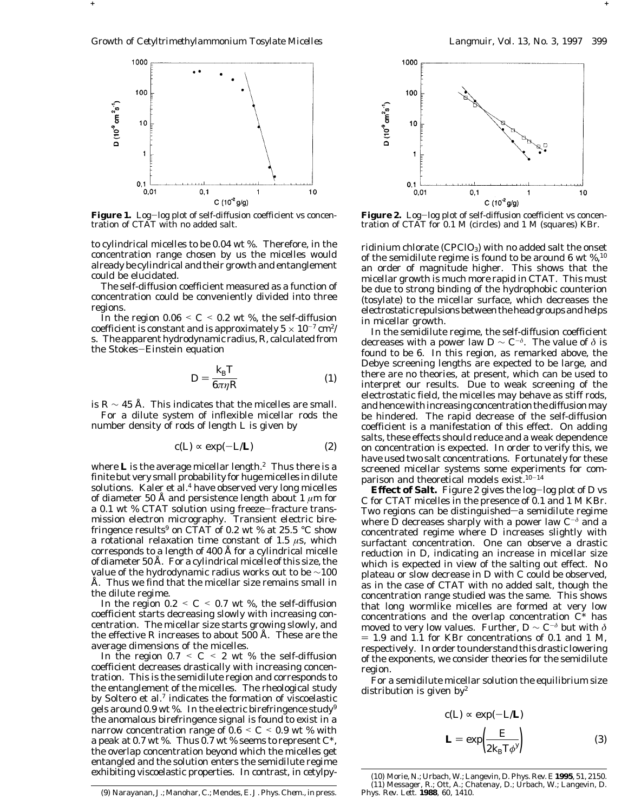**+ +**



Figure 1. Log-log plot of self-diffusion coefficient vs concentration of CTAT with no added salt.

to cylindrical micelles to be 0.04 wt %. Therefore, in the concentration range chosen by us the micelles would already be cylindrical and their growth and entanglement could be elucidated.

The self-diffusion coefficient measured as a function of concentration could be conveniently divided into three regions.

In the region  $0.06 \leq C \leq 0.2$  wt %, the self-diffusion coefficient is constant and is approximately  $5 \times 10^{-7}$  cm<sup>2</sup>/ s. The apparent hydrodynamic radius,*R*, calculated from the Stokes-Einstein equation

$$
D = \frac{k_{\rm B}T}{6\pi\eta R} \tag{1}
$$

is  $R \sim 45$  Å. This indicates that the micelles are small.

For a dilute system of inflexible micellar rods the number density of rods of length *L* is given by

$$
c(L) \propto \exp(-L/L) \tag{2}
$$

where **L** is the average micellar length.<sup>2</sup> Thus there is a finite but very small probability for huge micelles in dilute solutions. Kaler et al.<sup>4</sup> have observed very long micelles of diameter 50 Å and persistence length about 1 *µ*m for a 0.1 wt % CTAT solution using freeze-fracture transmission electron micrography. Transient electric birefringence results<sup>9</sup> on CTAT of 0.2 wt % at 25.5  $\degree$ C show a rotational relaxation time constant of 1.5 *µ*s, which corresponds to a length of 400 Å for a cylindrical micelle of diameter 50 Å. For a cylindrical micelle of this size, the value of the hydrodynamic radius works out to be ∼100 Å. Thus we find that the micellar size remains small in the dilute regime.

In the region  $0.2 \leq C \leq 0.7$  wt %, the self-diffusion coefficient starts decreasing slowly with increasing concentration. The micellar size starts growing slowly, and the effective *R* increases to about 500 Å. These are the average dimensions of the micelles.

In the region  $0.7 \leq C \leq 2$  wt % the self-diffusion coefficient decreases drastically with increasing concentration. This is the semidilute region and corresponds to the entanglement of the micelles. The rheological study by Soltero et al.7 indicates the formation of viscoelastic gels around 0.9 wt %. In the electric birefringence study<sup>9</sup> the anomalous birefringence signal is found to exist in a narrow concentration range of  $0.6 \le C \le 0.9$  wt % with a peak at 0.7 wt %. Thus 0.7 wt % seems to represent *C*\*, the overlap concentration beyond which the micelles get entangled and the solution enters the semidilute regime exhibiting viscoelastic properties. In contrast, in cetylpy-



Figure 2. Log-log plot of self-diffusion coefficient vs concentration of CTAT for 0.1 M (circles) and 1 M (squares) KBr.

ridinium chlorate (CPClO<sub>3</sub>) with no added salt the onset of the semidilute regime is found to be around 6 wt %,10 an order of magnitude higher. This shows that the micellar growth is much more rapid in CTAT. This must be due to strong binding of the hydrophobic counterion (tosylate) to the micellar surface, which decreases the electrostatic repulsions between the head groups and helps in micellar growth.

In the semidilute regime, the self-diffusion coefficient decreases with a power law  $D \sim C^{-\delta}$ . The value of  $\delta$  is found to be 6. In this region, as remarked above, the Debye screening lengths are expected to be large, and there are no theories, at present, which can be used to interpret our results. Due to weak screening of the electrostatic field, the micelles may behave as stiff rods, and hence with increasing concentration the diffusion may be hindered. The rapid decrease of the self-diffusion coefficient is a manifestation of this effect. On adding salts, these effects should reduce and a weak dependence on concentration is expected. In order to verify this, we have used two salt concentrations. Fortunately for these screened micellar systems some experiments for comparison and theoretical models exist.<sup>10-14</sup>

**Effect of Salt.** Figure 2 gives the log-log plot of *D* vs *C* for CTAT micelles in the presence of 0.1 and 1 M KBr. Two regions can be distinguished—a semidilute regime where *D* decreases sharply with a power law  $C^{-\delta}$  and a concentrated regime where *D* increases slightly with surfactant concentration. One can observe a drastic reduction in *D*, indicating an increase in micellar size which is expected in view of the salting out effect. No plateau or slow decrease in *D* with *C* could be observed, as in the case of CTAT with no added salt, though the concentration range studied was the same. This shows that long wormlike micelles are formed at very low concentrations and the overlap concentration *C*\* has moved to very low values. Further,  $D \sim C^{-\delta}$  but with  $\delta$  $= 1.9$  and 1.1 for KBr concentrations of 0.1 and 1 M, respectively. In order to understand this drastic lowering of the exponents, we consider theories for the semidilute region.

For a semidilute micellar solution the equilibrium size distribution is given  $by<sup>2</sup>$ 

$$
c(L) \propto \exp(-L/L)
$$
  

$$
\mathbf{L} = \exp\left(\frac{E}{2k_{\mathrm{B}}T\phi'}\right)
$$
(3)

<sup>(9)</sup> Narayanan, J.; Manohar, C.; Mendes, E. *J. Phys. Chem.*, in press.

<sup>(10)</sup> Morie, N.; Urbach, W.; Langevin, D. *Phys. Rev. E* **1995**, *51*, 2150. (11) Messager, R.; Ott, A.; Chatenay, D.; Urbach, W.; Langevin, D. *Phys. Rev. Lett.* **1988**, *60*, 1410.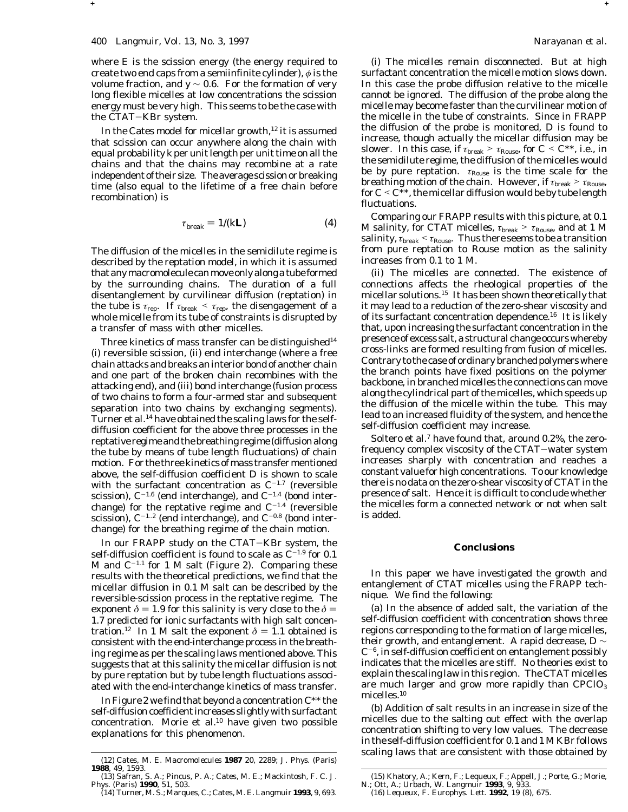where *E* is the scission energy (the energy required to create two end caps from a semiinfinite cylinder), *φ* is the volume fraction, and *y* ∼ 0.6. For the formation of very long flexible micelles at low concentrations the scission energy must be very high. This seems to be the case with the CTAT-KBr system.

In the Cates model for micellar growth,<sup>12</sup> it is assumed that scission can occur anywhere along the chain with equal probability *k* per unit length per unit time on all the chains and that the chains may recombine at a rate independent of their size. The average scission or breaking time (also equal to the lifetime of a free chain before recombination) is

$$
\tau_{\text{break}} = 1/(k\mathbf{L}) \tag{4}
$$

**+ +**

The diffusion of the micelles in the semidilute regime is described by the reptation model, in which it is assumed that anymacromolecule canmove only along a tube formed by the surrounding chains. The duration of a full disentanglement by curvilinear diffusion (reptation) in the tube is  $\tau_{\text{rep}}$ . If  $\tau_{\text{break}} < \tau_{\text{rep}}$ , the disengagement of a whole micelle from its tube of constraints is disrupted by a transfer of mass with other micelles.

Three kinetics of mass transfer can be distinguished $14$ (i) reversible scission, (ii) end interchange (where a free chain attacks and breaks an interior bond of another chain and one part of the broken chain recombines with the attacking end), and (iii) bond interchange (fusion process of two chains to form a four-armed star and subsequent separation into two chains by exchanging segments). Turner et al.14 have obtained the scaling laws for the selfdiffusion coefficient for the above three processes in the reptative regime and the breathing regime (diffusion along the tube by means of tube length fluctuations) of chain motion. For the three kinetics of mass transfer mentioned above, the self-diffusion coefficient *D* is shown to scale with the surfactant concentration as *C*-1.7 (reversible scission), *C*-1.6 (end interchange), and *C*-1.4 (bond interchange) for the reptative regime and  $C^{-1.4}$  (reversible scission),  $C^{-1.2}$  (end interchange), and  $C^{-0.8}$  (bond interchange) for the breathing regime of the chain motion.

In our FRAPP study on the CTAT-KBr system, the self-diffusion coefficient is found to scale as *C*-1.9 for 0.1 M and  $C^{-1.1}$  for 1 M salt (Figure 2). Comparing these results with the theoretical predictions, we find that the micellar diffusion in 0.1 M salt can be described by the reversible-scission process in the reptative regime. The exponent  $\delta$  = 1.9 for this salinity is very close to the  $\delta$  = 1.7 predicted for ionic surfactants with high salt concentration.<sup>12</sup> In 1 M salt the exponent  $\delta = 1.1$  obtained is consistent with the end-interchange process in the breathing regime as per the scaling laws mentioned above. This suggests that at this salinity the micellar diffusion is not by pure reptation but by tube length fluctuations associated with the end-interchange kinetics of mass transfer.

In Figure 2 we find that beyond a concentration *C*\*\* the self-diffusion coefficient increases slightly with surfactant concentration. Morie et al.10 have given two possible explanations for this phenomenon.

*(i) The micelles remain disconnected*. But at high surfactant concentration the micelle motion slows down. In this case the probe diffusion relative to the micelle cannot be ignored. The diffusion of the probe along the micelle may become faster than the curvilinear motion of the micelle in the tube of constraints. Since in FRAPP the diffusion of the probe is monitored, *D* is found to increase, though actually the micellar diffusion may be slower. In this case, if  $\tau_{break} > \tau_{Rouse}$ , for  $C \leq C^{**}$ , i.e., in the semidilute regime, the diffusion of the micelles would be by pure reptation. *τ*Rouse is the time scale for the breathing motion of the chain. However, if *τ*break > *τ*Rouse, for  $C \leq C^*$ , the micellar diffusion would be by tube length fluctuations.

Comparing our FRAPP results with this picture, at 0.1 M salinity, for CTAT micelles, *τ*break > *τ*Rouse, and at 1 M salinity,  $\tau_{\text{break}} < \tau_{\text{Rouse}}$ . Thus there seems to be a transition from pure reptation to Rouse motion as the salinity increases from 0.1 to 1 M.

*(ii) The micelles are connected*. The existence of connections affects the rheological properties of the micellar solutions.15 It has been shown theoretically that it may lead to a reduction of the zero-shear viscosity and of its surfactant concentration dependence.16 It is likely that, upon increasing the surfactant concentration in the presence of excess salt, a structural change occurs whereby cross-links are formed resulting from fusion of micelles. Contrary to the case of ordinary branched polymers where the branch points have fixed positions on the polymer backbone, in branched micelles the connections can move along the cylindrical part of the micelles, which speeds up the diffusion of the micelle within the tube. This may lead to an increased fluidity of the system, and hence the self-diffusion coefficient may increase.

Soltero et al. $7$  have found that, around 0.2%, the zerofrequency complex viscosity of the CTAT-water system increases sharply with concentration and reaches a constant value for high concentrations. To our knowledge there is no data on the zero-shear viscosity of CTAT in the presence of salt. Hence it is difficult to conclude whether the micelles form a connected network or not when salt is added.

## **Conclusions**

In this paper we have investigated the growth and entanglement of CTAT micelles using the FRAPP technique. We find the following:

(a) In the absence of added salt, the variation of the self-diffusion coefficient with concentration shows three regions corresponding to the formation of large micelles, their growth, and entanglement. A rapid decrease, *D* ∼  $C^{-6}$ , in self-diffusion coefficient on entanglement possibly indicates that the micelles are stiff. No theories exist to explain the scaling law in this region. The CTAT micelles are much larger and grow more rapidly than  $\text{CPCIO}_3$ micelles.10

(b) Addition of salt results in an increase in size of the micelles due to the salting out effect with the overlap concentration shifting to very low values. The decrease in the self-diffusion coefficient for 0.1 and 1 M KBr follows scaling laws that are consistent with those obtained by (12) Cates, M. E. *Macromolecules* **<sup>1987</sup>** *<sup>20</sup>*, 2289; *J. Phys. (Paris)*

**<sup>1988</sup>**, *49*, 1593.

<sup>(13)</sup> Safran, S. A.; Pincus, P. A.; Cates, M. E.; Mackintosh, F. C. *J. Phys. (Paris)* **1990**, *51*, 503.

<sup>(14)</sup> Turner, M. S.; Marques, C.; Cates, M. E. *Langmuir* **1993**, *9*, 693.

<sup>(15)</sup> Khatory, A.; Kern, F.; Lequeux, F.; Appell, J.; Porte, G.; Morie, N.; Ott, A.; Urbach, W. *Langmuir* **1993**, *9*, 933.

<sup>(16)</sup> Lequeux, F. *Europhys. Lett.* **1992**, *19* (8), 675.